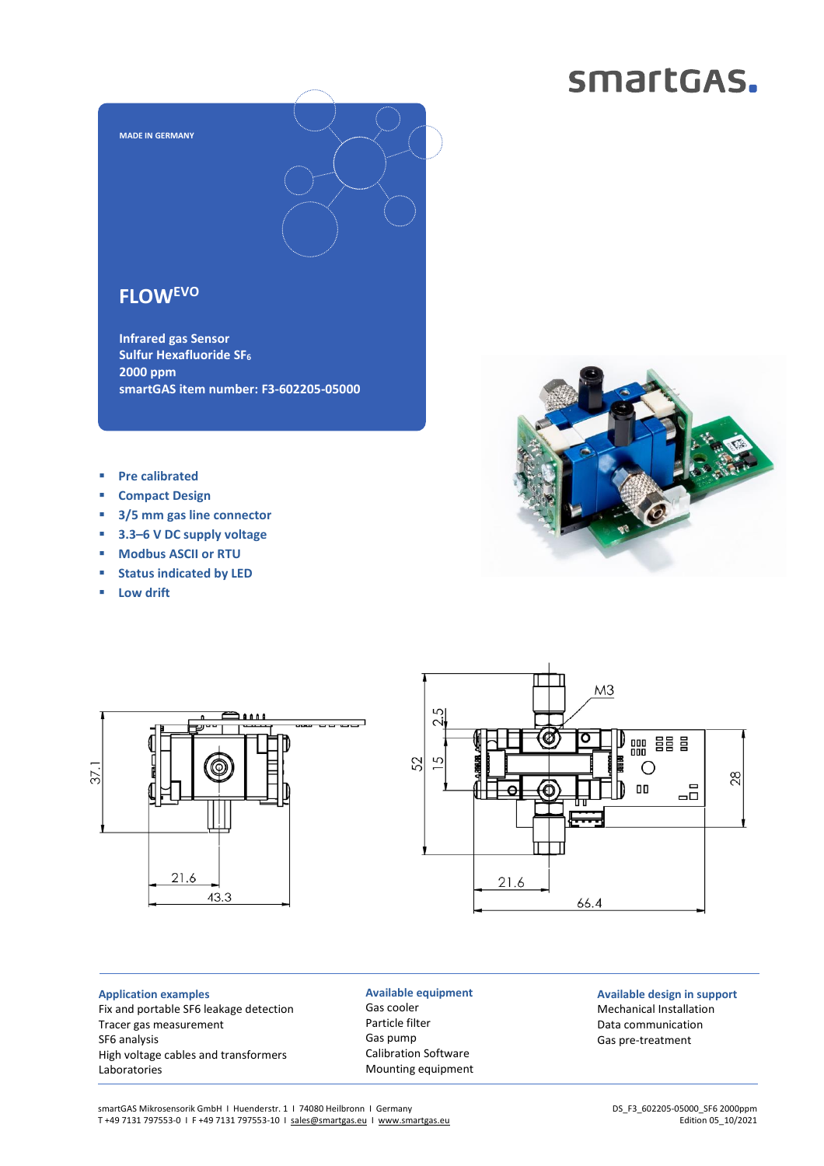# smartGAS.



## **FLOWEVO**

**Infrared gas Sensor Sulfur Hexafluoride SF<sup>6</sup> 2000 ppm smartGAS item number: F3-602205-05000**

- **Pre calibrated**
- **Compact Design**
- **3/5 mm gas line connector**
- **3.3–6 V DC supply voltage**
- **Modbus ASCII or RTU**
- **Status indicated by LED**
- **Low drift**







#### **Application examples** Fix and portable SF6 leakage detection Tracer gas measurement SF6 analysis High voltage cables and transformers Laboratories

### **Available equipment** Gas cooler Particle filter Gas pump Calibration Software Mounting equipment

### **Available design in support** Mechanical Installation Data communication Gas pre-treatment